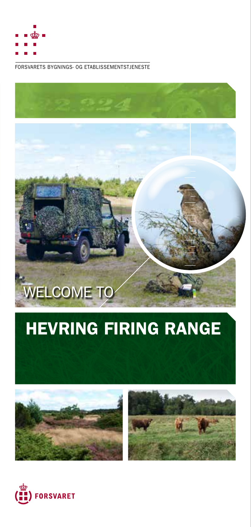

FORSVARETS BYGNINGS- OG ETABLISSEMENTSTJENESTE

# WELCOME TO

# HEVRING FIRING RANGE





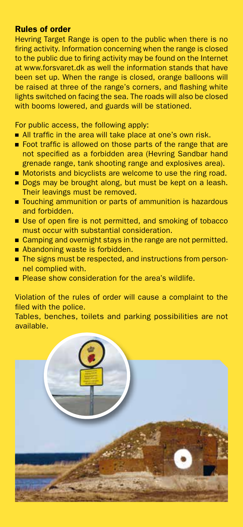#### Rules of order

Hevring Target Range is open to the public when there is no firing activity. Information concerning when the range is closed to the public due to firing activity may be found on the Internet at www.forsvaret.dk as well the information stands that have been set up. When the range is closed, orange balloons will be raised at three of the range's corners, and flashing white lights switched on facing the sea. The roads will also be closed with booms lowered, and guards will be stationed.

For public access, the following apply:

- All traffic in the area will take place at one's own risk.
- Foot traffic is allowed on those parts of the range that are not specified as a forbidden area (Hevring Sandbar hand grenade range, tank shooting range and explosives area).
- Motorists and bicyclists are welcome to use the ring road.
- Dogs may be brought along, but must be kept on a leash. Their leavings must be removed.
- Touching ammunition or parts of ammunition is hazardous and forbidden.
- Use of open fire is not permitted, and smoking of tobacco must occur with substantial consideration.
- Camping and overnight stays in the range are not permitted.
- Abandoning waste is forbidden. ■ The signs must be respected, and instructions from person-
- nel complied with.
- **Please show consideration for the area's wildlife.**

Violation of the rules of order will cause a complaint to the filed with the police.

Tables, benches, toilets and parking possibilities are not available.

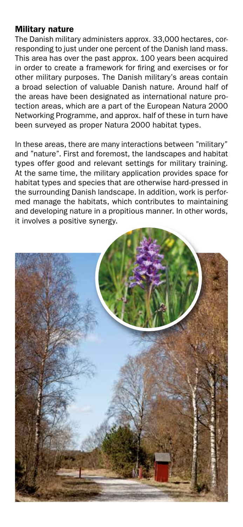## Military nature

The Danish military administers approx. 33,000 hectares, corresponding to just under one percent of the Danish land mass. This area has over the past approx. 100 years been acquired in order to create a framework for firing and exercises or for other military purposes. The Danish military's areas contain a broad selection of valuable Danish nature. Around half of the areas have been designated as international nature protection areas, which are a part of the European Natura 2000 Networking Programme, and approx. half of these in turn have been surveyed as proper Natura 2000 habitat types.

In these areas, there are many interactions between "military" and "nature". First and foremost, the landscapes and habitat types offer good and relevant settings for military training. At the same time, the military application provides space for habitat types and species that are otherwise hard-pressed in the surrounding Danish landscape. In addition, work is performed manage the habitats, which contributes to maintaining and developing nature in a propitious manner. In other words, it involves a positive synergy.

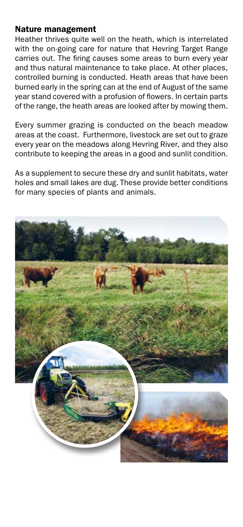#### Nature management

Heather thrives quite well on the heath, which is interrelated with the on-going care for nature that Hevring Target Range carries out. The firing causes some areas to burn every year and thus natural maintenance to take place. At other places, controlled burning is conducted. Heath areas that have been burned early in the spring can at the end of August of the same year stand covered with a profusion of flowers. In certain parts of the range, the heath areas are looked after by mowing them.

Every summer grazing is conducted on the beach meadow areas at the coast. Furthermore, livestock are set out to graze every year on the meadows along Hevring River, and they also contribute to keeping the areas in a good and sunlit condition.

As a supplement to secure these dry and sunlit habitats, water holes and small lakes are dug. These provide better conditions for many species of plants and animals.

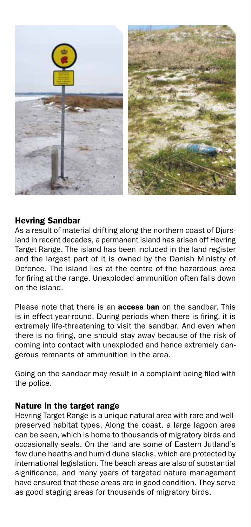

#### Hevring Sandbar

As a result of material drifting along the northern coast of Djursland in recent decades, a permanent island has arisen off Hevring Target Range. The island has been included in the land register and the largest part of it is owned by the Danish Ministry of Defence. The island lies at the centre of the hazardous area for firing at the range. Unexploded ammunition often falls down on the island.

Please note that there is an **access ban** on the sandbar. This is in effect year-round. During periods when there is firing, it is extremely life-threatening to visit the sandbar. And even when there is no firing, one should stay away because of the risk of coming into contact with unexploded and hence extremely dangerous remnants of ammunition in the area.

Going on the sandbar may result in a complaint being filed with the police.

## Nature in the target range

Hevring Target Range is a unique natural area with rare and wellpreserved habitat types. Along the coast, a large lagoon area can be seen, which is home to thousands of migratory birds and occasionally seals. On the land are some of Eastern Jutland's few dune heaths and humid dune slacks, which are protected by international legislation. The beach areas are also of substantial significance, and many years of targeted nature management have ensured that these areas are in good condition. They serve as good staging areas for thousands of migratory birds.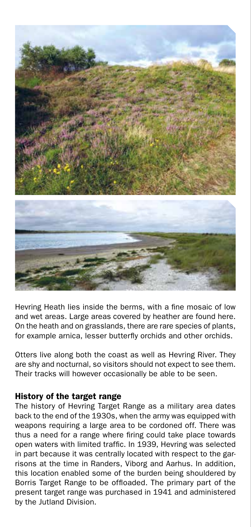

Hevring Heath lies inside the berms, with a fine mosaic of low and wet areas. Large areas covered by heather are found here. On the heath and on grasslands, there are rare species of plants, for example arnica, lesser butterfly orchids and other orchids.

Otters live along both the coast as well as Hevring River. They are shy and nocturnal, so visitors should not expect to see them. Their tracks will however occasionally be able to be seen.

#### History of the target range

The history of Hevring Target Range as a military area dates back to the end of the 1930s, when the army was equipped with weapons requiring a large area to be cordoned off. There was thus a need for a range where firing could take place towards open waters with limited traffic. In 1939, Hevring was selected in part because it was centrally located with respect to the garrisons at the time in Randers, Viborg and Aarhus. In addition, this location enabled some of the burden being shouldered by Borris Target Range to be offloaded. The primary part of the present target range was purchased in 1941 and administered by the Jutland Division.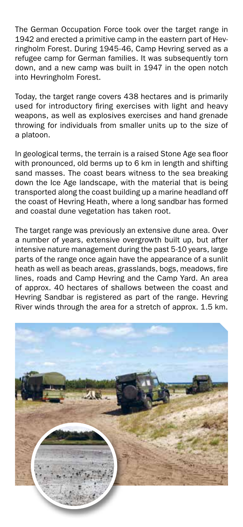The German Occupation Force took over the target range in 1942 and erected a primitive camp in the eastern part of Hevringholm Forest. During 1945-46, Camp Hevring served as a refugee camp for German families. It was subsequently torn down, and a new camp was built in 1947 in the open notch into Hevringholm Forest.

Today, the target range covers 438 hectares and is primarily used for introductory firing exercises with light and heavy weapons, as well as explosives exercises and hand grenade throwing for individuals from smaller units up to the size of a platoon.

In geological terms, the terrain is a raised Stone Age sea floor with pronounced, old berms up to 6 km in length and shifting sand masses. The coast bears witness to the sea breaking down the Ice Age landscape, with the material that is being transported along the coast building up a marine headland off the coast of Hevring Heath, where a long sandbar has formed and coastal dune vegetation has taken root.

The target range was previously an extensive dune area. Over a number of years, extensive overgrowth built up, but after intensive nature management during the past 5-10 years, large parts of the range once again have the appearance of a sunlit heath as well as beach areas, grasslands, bogs, meadows, fire lines, roads and Camp Hevring and the Camp Yard. An area of approx. 40 hectares of shallows between the coast and Hevring Sandbar is registered as part of the range. Hevring River winds through the area for a stretch of approx. 1.5 km.

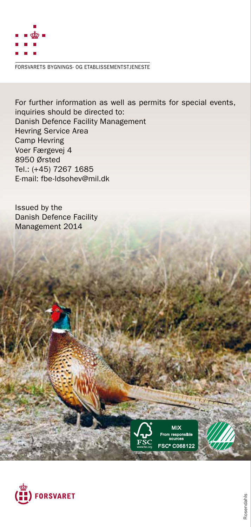

FORSVARETS BYGNINGS- OG ETABLISSEMENTSTJENESTE

For further information as well as permits for special events, inquiries should be directed to: Danish Defence Facility Management Hevring Service Area Camp Hevring Voer Færgevej 4 8950 Ørsted Tel.: (+45) 7267 1685 E-mail: fbe-ldsohev@mil.dk

Issued by the Danish Defence Facility Management 2014





**<sup>5</sup>4<sup>1</sup> <sup>P</sup>rintedmatte<sup>r</sup> <sup>4</sup>5<sup>7</sup>**